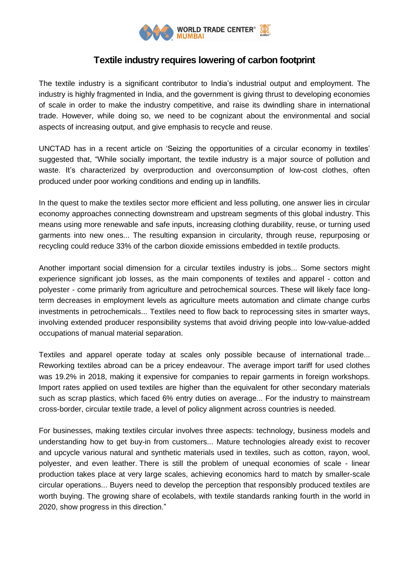

## **Textile industry requires lowering of carbon footprint**

The textile industry is a significant contributor to India's industrial output and employment. The industry is highly fragmented in India, and the government is giving thrust to developing economies of scale in order to make the industry competitive, and raise its dwindling share in international trade. However, while doing so, we need to be cognizant about the environmental and social aspects of increasing output, and give emphasis to recycle and reuse.

UNCTAD has in a recent article on 'Seizing the opportunities of a circular economy in textiles' suggested that, "While socially important, the textile industry is a major source of pollution and waste. It's characterized by overproduction and overconsumption of low-cost clothes, often produced under poor working conditions and ending up in landfills.

In the quest to make the textiles sector more efficient and less polluting, one answer lies in circular economy approaches connecting downstream and upstream segments of this global industry. This means using more renewable and safe inputs, increasing clothing durability, reuse, or turning used garments into new ones... The resulting expansion in circularity, through reuse, repurposing or recycling could reduce 33% of the carbon dioxide emissions embedded in textile products.

Another important social dimension for a circular textiles industry is jobs... Some sectors might experience significant job losses, as the main components of textiles and apparel - cotton and polyester - come primarily from agriculture and petrochemical sources. These will likely face longterm decreases in employment levels as agriculture meets automation and climate change curbs investments in petrochemicals... Textiles need to flow back to reprocessing sites in smarter ways, involving extended producer responsibility systems that avoid driving people into low-value-added occupations of manual material separation.

Textiles and apparel operate today at scales only possible because of international trade... Reworking textiles abroad can be a pricey endeavour. The average import tariff for used clothes was 19.2% in 2018, making it expensive for companies to repair garments in foreign workshops. Import rates applied on used textiles are higher than the equivalent for other secondary materials such as scrap plastics, which faced 6% entry duties on average... For the industry to mainstream cross-border, circular textile trade, a level of policy alignment across countries is needed.

For businesses, making textiles circular involves three aspects: technology, business models and understanding how to get buy-in from customers... Mature technologies already exist to recover and upcycle various natural and synthetic materials used in textiles, such as cotton, rayon, wool, polyester, and even leather. There is still the problem of unequal economies of scale - linear production takes place at very large scales, achieving economics hard to match by smaller-scale circular operations... Buyers need to develop the perception that responsibly produced textiles are worth buying. The growing share of ecolabels, with textile standards ranking fourth in the world in 2020, show progress in this direction."